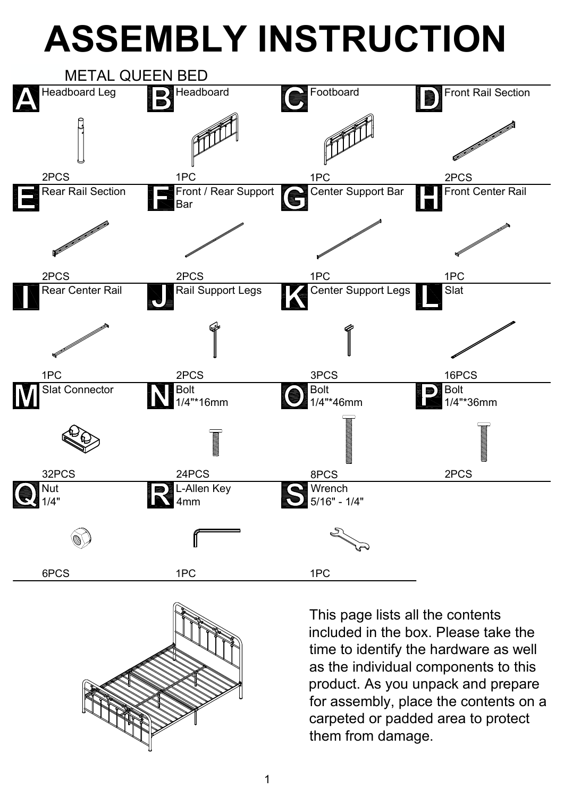## **ASSEMBLY INSTRUCTION**





This page lists all the contents included in the box. Please take the time to identify the hardware as well as the individual components to this product. As you unpack and prepare for assembly, place the contents on a carpeted or padded area to protect them from damage.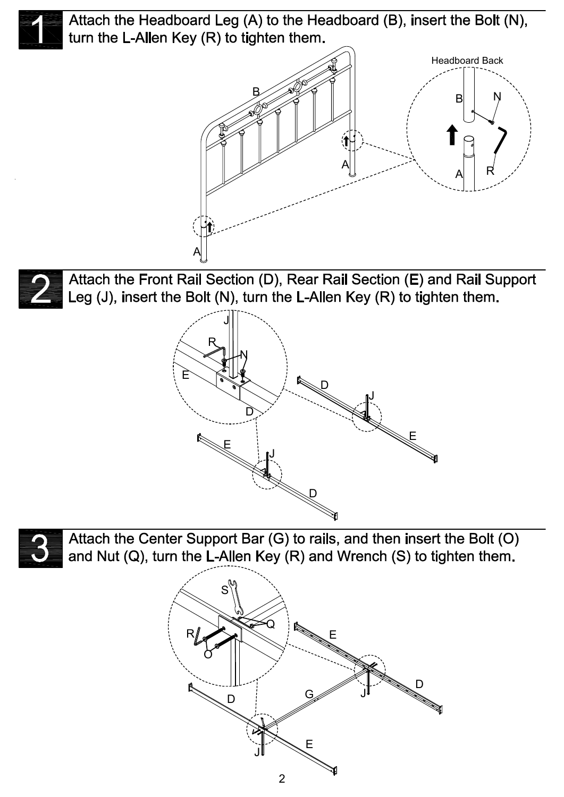Attach the Headboard Leg (A) to the Headboard (B), insert the Bolt (N), turn the L-Allen Key (R) to tighten them.





Attach the Front Rail Section (D), Rear Rail Section (E) and Rail Support Leg (J), insert the Bolt (N), turn the L-Allen Key (R) to tighten them.





Attach the Center Support Bar (G) to rails, and then insert the Bolt (O) and Nut (Q), turn the L-Allen Key (R) and Wrench (S) to tighten them.

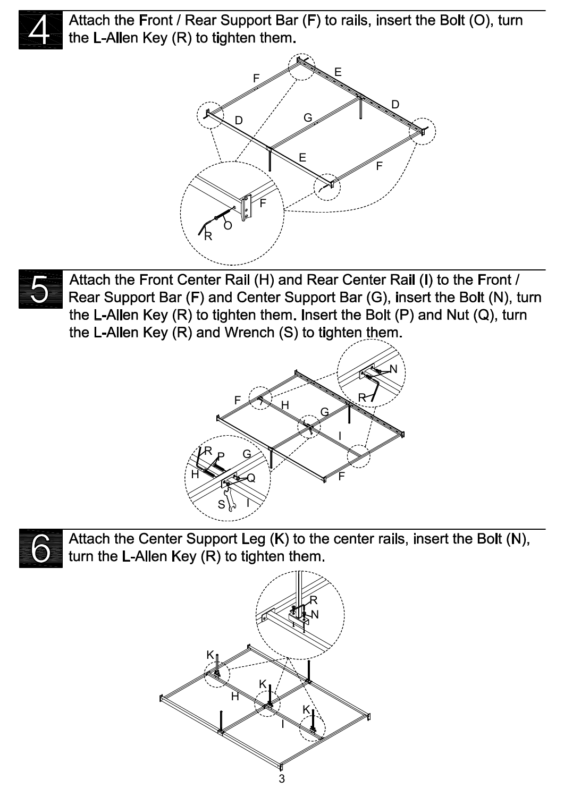

Attach the Front / Rear Support Bar (F) to rails, insert the Bolt (O), turn the L-Allen Key (R) to tighten them.





Attach the Front Center Rail (H) and Rear Center Rail (I) to the Front / Rear Support Bar (F) and Center Support Bar (G), insert the Bolt (N), turn the L-Allen Key (R) to tighten them. Insert the Bolt (P) and Nut (Q), turn the L-Allen Key (R) and Wrench (S) to tighten them.





Attach the Center Support Leg (K) to the center rails, insert the Bolt (N), turn the L-Allen Key (R) to tighten them.